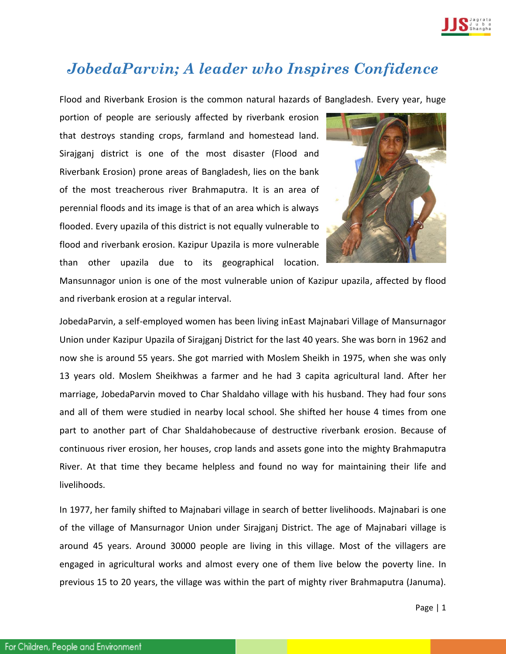

## *JobedaParvin; A leader who Inspires Confidence*

Flood and Riverbank Erosion is the common natural hazards of Bangladesh. Every year, huge

portion of people are seriously affected by riverbank erosion that destroys standing crops, farmland and homestead land. Sirajganj district is one of the most disaster (Flood and Riverbank Erosion) prone areas of Bangladesh, lies on the bank of the most treacherous river Brahmaputra. It is an area of perennial floods and its image is that of an area which is always flooded. Every upazila of this district is not equally vulnerable to flood and riverbank erosion. Kazipur Upazila is more vulnerable than other upazila due to its geographical location.



Mansunnagor union is one of the most vulnerable union of Kazipur upazila, affected by flood and riverbank erosion at a regular interval.

JobedaParvin, a self-employed women has been living inEast Majnabari Village of Mansurnagor Union under Kazipur Upazila of Sirajganj District for the last 40 years. She was born in 1962 and now she is around 55 years. She got married with Moslem Sheikh in 1975, when she was only 13 years old. Moslem Sheikhwas a farmer and he had 3 capita agricultural land. After her marriage, JobedaParvin moved to Char Shaldaho village with his husband. They had four sons and all of them were studied in nearby local school. She shifted her house 4 times from one part to another part of Char Shaldahobecause of destructive riverbank erosion. Because of continuous river erosion, her houses, crop lands and assets gone into the mighty Brahmaputra River. At that time they became helpless and found no way for maintaining their life and livelihoods.

In 1977, her family shifted to Majnabari village in search of better livelihoods. Majnabari is one of the village of Mansurnagor Union under Sirajganj District. The age of Majnabari village is around 45 years. Around 30000 people are living in this village. Most of the villagers are engaged in agricultural works and almost every one of them live below the poverty line. In previous 15 to 20 years, the village was within the part of mighty river Brahmaputra (Januma).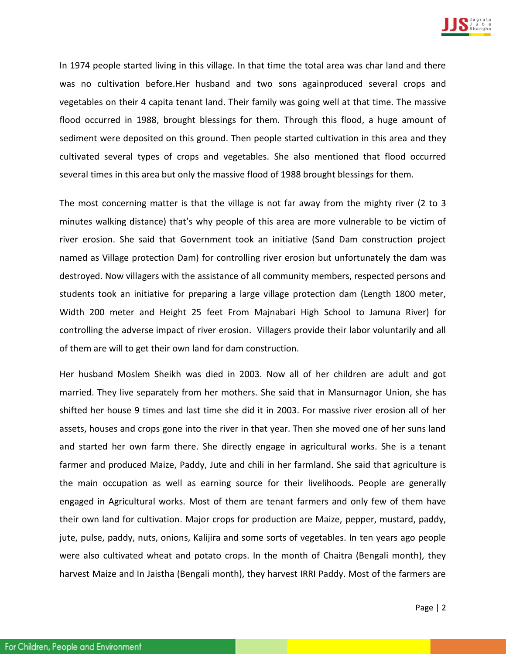

In 1974 people started living in this village. In that time the total area was char land and there was no cultivation before.Her husband and two sons againproduced several crops and vegetables on their 4 capita tenant land. Their family was going well at that time. The massive flood occurred in 1988, brought blessings for them. Through this flood, a huge amount of sediment were deposited on this ground. Then people started cultivation in this area and they cultivated several types of crops and vegetables. She also mentioned that flood occurred several times in this area but only the massive flood of 1988 brought blessings for them.

The most concerning matter is that the village is not far away from the mighty river (2 to 3 minutes walking distance) that's why people of this area are more vulnerable to be victim of river erosion. She said that Government took an initiative (Sand Dam construction project named as Village protection Dam) for controlling river erosion but unfortunately the dam was destroyed. Now villagers with the assistance of all community members, respected persons and students took an initiative for preparing a large village protection dam (Length 1800 meter, Width 200 meter and Height 25 feet From Majnabari High School to Jamuna River) for controlling the adverse impact of river erosion. Villagers provide their labor voluntarily and all of them are will to get their own land for dam construction.

Her husband Moslem Sheikh was died in 2003. Now all of her children are adult and got married. They live separately from her mothers. She said that in Mansurnagor Union, she has shifted her house 9 times and last time she did it in 2003. For massive river erosion all of her assets, houses and crops gone into the river in that year. Then she moved one of her suns land and started her own farm there. She directly engage in agricultural works. She is a tenant farmer and produced Maize, Paddy, Jute and chili in her farmland. She said that agriculture is the main occupation as well as earning source for their livelihoods. People are generally engaged in Agricultural works. Most of them are tenant farmers and only few of them have their own land for cultivation. Major crops for production are Maize, pepper, mustard, paddy, jute, pulse, paddy, nuts, onions, Kalijira and some sorts of vegetables. In ten years ago people were also cultivated wheat and potato crops. In the month of Chaitra (Bengali month), they harvest Maize and In Jaistha (Bengali month), they harvest IRRI Paddy. Most of the farmers are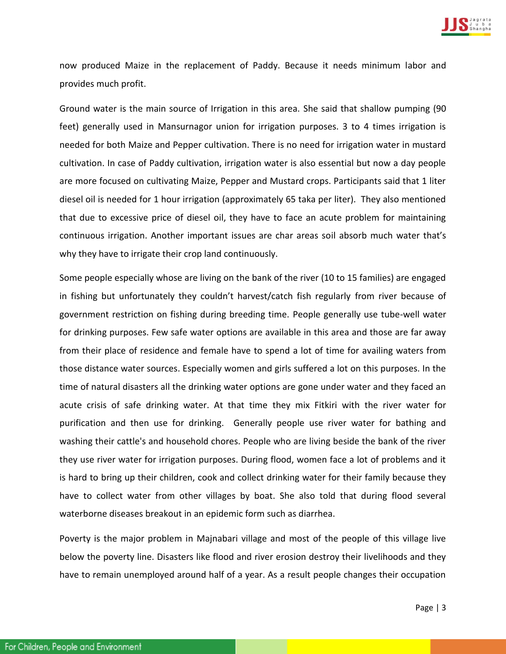

now produced Maize in the replacement of Paddy. Because it needs minimum labor and provides much profit.

Ground water is the main source of Irrigation in this area. She said that shallow pumping (90 feet) generally used in Mansurnagor union for irrigation purposes. 3 to 4 times irrigation is needed for both Maize and Pepper cultivation. There is no need for irrigation water in mustard cultivation. In case of Paddy cultivation, irrigation water is also essential but now a day people are more focused on cultivating Maize, Pepper and Mustard crops. Participants said that 1 liter diesel oil is needed for 1 hour irrigation (approximately 65 taka per liter). They also mentioned that due to excessive price of diesel oil, they have to face an acute problem for maintaining continuous irrigation. Another important issues are char areas soil absorb much water that's why they have to irrigate their crop land continuously.

Some people especially whose are living on the bank of the river (10 to 15 families) are engaged in fishing but unfortunately they couldn't harvest/catch fish regularly from river because of government restriction on fishing during breeding time. People generally use tube-well water for drinking purposes. Few safe water options are available in this area and those are far away from their place of residence and female have to spend a lot of time for availing waters from those distance water sources. Especially women and girls suffered a lot on this purposes. In the time of natural disasters all the drinking water options are gone under water and they faced an acute crisis of safe drinking water. At that time they mix Fitkiri with the river water for purification and then use for drinking. Generally people use river water for bathing and washing their cattle's and household chores. People who are living beside the bank of the river they use river water for irrigation purposes. During flood, women face a lot of problems and it is hard to bring up their children, cook and collect drinking water for their family because they have to collect water from other villages by boat. She also told that during flood several waterborne diseases breakout in an epidemic form such as diarrhea.

Poverty is the major problem in Majnabari village and most of the people of this village live below the poverty line. Disasters like flood and river erosion destroy their livelihoods and they have to remain unemployed around half of a year. As a result people changes their occupation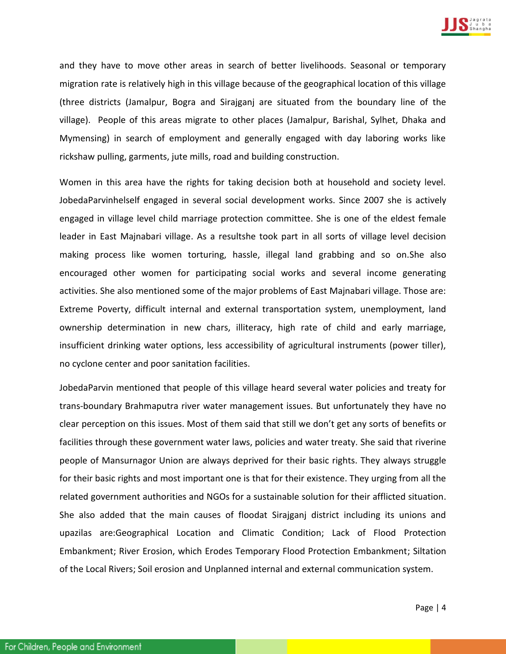

and they have to move other areas in search of better livelihoods. Seasonal or temporary migration rate is relatively high in this village because of the geographical location of this village (three districts (Jamalpur, Bogra and Sirajganj are situated from the boundary line of the village). People of this areas migrate to other places (Jamalpur, Barishal, Sylhet, Dhaka and Mymensing) in search of employment and generally engaged with day laboring works like rickshaw pulling, garments, jute mills, road and building construction.

Women in this area have the rights for taking decision both at household and society level. JobedaParvinhelself engaged in several social development works. Since 2007 she is actively engaged in village level child marriage protection committee. She is one of the eldest female leader in East Majnabari village. As a resultshe took part in all sorts of village level decision making process like women torturing, hassle, illegal land grabbing and so on.She also encouraged other women for participating social works and several income generating activities. She also mentioned some of the major problems of East Majnabari village. Those are: Extreme Poverty, difficult internal and external transportation system, unemployment, land ownership determination in new chars, illiteracy, high rate of child and early marriage, insufficient drinking water options, less accessibility of agricultural instruments (power tiller), no cyclone center and poor sanitation facilities.

JobedaParvin mentioned that people of this village heard several water policies and treaty for trans-boundary Brahmaputra river water management issues. But unfortunately they have no clear perception on this issues. Most of them said that still we don't get any sorts of benefits or facilities through these government water laws, policies and water treaty. She said that riverine people of Mansurnagor Union are always deprived for their basic rights. They always struggle for their basic rights and most important one is that for their existence. They urging from all the related government authorities and NGOs for a sustainable solution for their afflicted situation. She also added that the main causes of floodat Sirajganj district including its unions and upazilas are:Geographical Location and Climatic Condition; Lack of Flood Protection Embankment; River Erosion, which Erodes Temporary Flood Protection Embankment; Siltation of the Local Rivers; Soil erosion and Unplanned internal and external communication system.